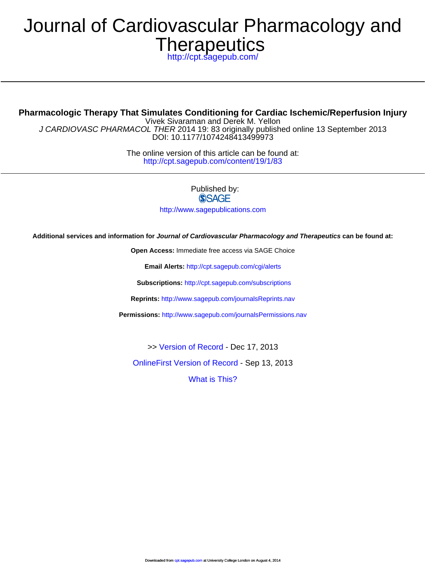# **Therapeutics** Journal of Cardiovascular Pharmacology and

<http://cpt.sagepub.com/>

DOI: 10.1177/1074248413499973 J CARDIOVASC PHARMACOL THER 2014 19: 83 originally published online 13 September 2013 Vivek Sivaraman and Derek M. Yellon **Pharmacologic Therapy That Simulates Conditioning for Cardiac Ischemic/Reperfusion Injury**

> <http://cpt.sagepub.com/content/19/1/83> The online version of this article can be found at:

> > Published by: **SSAGE**

<http://www.sagepublications.com>

**Additional services and information for Journal of Cardiovascular Pharmacology and Therapeutics can be found at:**

**Open Access:** Immediate free access via SAGE Choice

**Email Alerts:** <http://cpt.sagepub.com/cgi/alerts>

**Subscriptions:** <http://cpt.sagepub.com/subscriptions>

**Reprints:** <http://www.sagepub.com/journalsReprints.nav>

**Permissions:** <http://www.sagepub.com/journalsPermissions.nav>

>> [Version of Record -](http://cpt.sagepub.com/content/19/1/83.full.pdf) Dec 17, 2013

[OnlineFirst Version of Record -](http://cpt.sagepub.com/content/early/2013/08/08/1074248413499973.full.pdf) Sep 13, 2013

[What is This?](http://online.sagepub.com/site/sphelp/vorhelp.xhtml)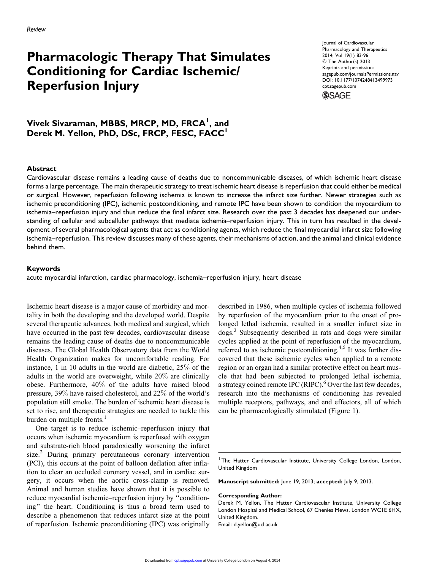## Pharmacologic Therapy That Simulates Conditioning for Cardiac Ischemic/ Reperfusion Injury

Journal of Cardiovascular Pharmacology and Therapeutics 2014, Vol 19(1) 83-96 © The Author(s) 2013 Reprints and permission: [sagepub.com/journalsPermissions.nav](http://www.sagepub.com/journalsPermissions.nav) DOI: 10.1177/1074248413499973 [cpt.sagepub.com](http://cpt.sagepub.com)



## Vivek Sivaraman, MBBS, MRCP, MD, FRCA<sup>I</sup>, and Derek M. Yellon, PhD, DSc, FRCP, FESC, FACC<sup>1</sup>

#### Abstract

Cardiovascular disease remains a leading cause of deaths due to noncommunicable diseases, of which ischemic heart disease forms a large percentage. The main therapeutic strategy to treat ischemic heart disease is reperfusion that could either be medical or surgical. However, reperfusion following ischemia is known to increase the infarct size further. Newer strategies such as ischemic preconditioning (IPC), ischemic postconditioning, and remote IPC have been shown to condition the myocardium to ischemia–reperfusion injury and thus reduce the final infarct size. Research over the past 3 decades has deepened our understanding of cellular and subcellular pathways that mediate ischemia–reperfusion injury. This in turn has resulted in the development of several pharmacological agents that act as conditioning agents, which reduce the final myocardial infarct size following ischemia–reperfusion. This review discusses many of these agents, their mechanisms of action, and the animal and clinical evidence behind them.

#### Keywords

acute myocardial infarction, cardiac pharmacology, ischemia–reperfusion injury, heart disease

Ischemic heart disease is a major cause of morbidity and mortality in both the developing and the developed world. Despite several therapeutic advances, both medical and surgical, which have occurred in the past few decades, cardiovascular disease remains the leading cause of deaths due to noncommunicable diseases. The Global Health Observatory data from the World Health Organization makes for uncomfortable reading. For instance, 1 in 10 adults in the world are diabetic, 25% of the adults in the world are overweight, while 20% are clinically obese. Furthermore, 40% of the adults have raised blood pressure, 39% have raised cholesterol, and 22% of the world's population still smoke. The burden of ischemic heart disease is set to rise, and therapeutic strategies are needed to tackle this burden on multiple fronts.<sup>1</sup>

One target is to reduce ischemic–reperfusion injury that occurs when ischemic myocardium is reperfused with oxygen and substrate-rich blood paradoxically worsening the infarct size.<sup>2</sup> During primary percutaneous coronary intervention (PCI), this occurs at the point of balloon deflation after inflation to clear an occluded coronary vessel, and in cardiac surgery, it occurs when the aortic cross-clamp is removed. Animal and human studies have shown that it is possible to reduce myocardial ischemic–reperfusion injury by ''conditioning'' the heart. Conditioning is thus a broad term used to describe a phenomenon that reduces infarct size at the point of reperfusion. Ischemic preconditioning (IPC) was originally

described in 1986, when multiple cycles of ischemia followed by reperfusion of the myocardium prior to the onset of prolonged lethal ischemia, resulted in a smaller infarct size in dogs.<sup>3</sup> Subsequently described in rats and dogs were similar cycles applied at the point of reperfusion of the myocardium, referred to as ischemic postconditioning.<sup>4,5</sup> It was further discovered that these ischemic cycles when applied to a remote region or an organ had a similar protective effect on heart muscle that had been subjected to prolonged lethal ischemia, a strategy coined remote IPC (RIPC). $6$  Over the last few decades, research into the mechanisms of conditioning has revealed multiple receptors, pathways, and end effectors, all of which can be pharmacologically stimulated (Figure 1).

Manuscript submitted: June 19, 2013; accepted: July 9, 2013.

#### Corresponding Author:

Email: d.yellon@ucl.ac.uk

<sup>&</sup>lt;sup>1</sup> The Hatter Cardiovascular Institute, University College London, London, United Kingdom

Derek M. Yellon, The Hatter Cardiovascular Institute, University College London Hospital and Medical School, 67 Chenies Mews, London WC1E 6HX, United Kingdom.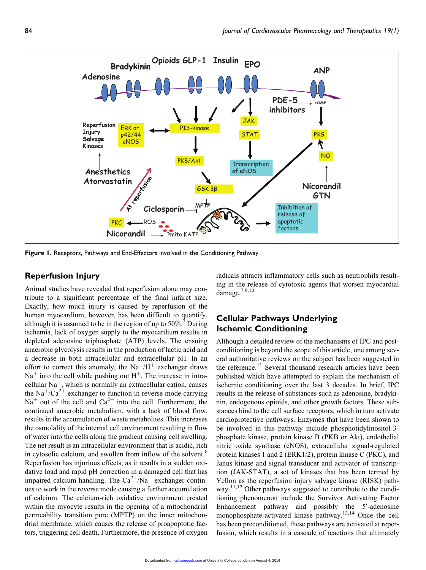

Figure 1. Receptors, Pathways and End-Effectors involved in the Conditioning Pathway.

#### Reperfusion Injury

Animal studies have revealed that reperfusion alone may contribute to a significant percentage of the final infarct size. Exactly, how much injury is caused by reperfusion of the human myocardium, however, has been difficult to quantify, although it is assumed to be in the region of up to  $50\%$ .<sup>7</sup> During ischemia, lack of oxygen supply to the myocardium results in depleted adenosine triphosphate (ATP) levels. The ensuing anaerobic glycolysis results in the production of lactic acid and a decrease in both intracellular and extracellular pH. In an effort to correct this anomaly, the  $Na^+/H^+$  exchanger draws  $Na<sup>+</sup>$  into the cell while pushing out H<sup>+</sup>. The increase in intracellular  $Na<sup>+</sup>$ , which is normally an extracellular cation, causes the Na<sup>+</sup>/Ca<sup>2+</sup> exchanger to function in reverse mode carrying  $Na<sup>+</sup>$  out of the cell and  $Ca<sup>2+</sup>$  into the cell. Furthermore, the continued anaerobic metabolism, with a lack of blood flow, results in the accumulation of waste metabolites. This increases the osmolality of the internal cell environment resulting in flow of water into the cells along the gradient causing cell swelling. The net result is an intracellular environment that is acidic, rich in cytosolic calcium, and swollen from inflow of the solvent.<sup>8</sup> Reperfusion has injurious effects, as it results in a sudden oxidative load and rapid pH correction in a damaged cell that has impaired calcium handling. The  $Ca^{2+}/Na^{+}$  exchanger continues to work in the reverse mode causing a further accumulation of calcium. The calcium-rich oxidative environment created within the myocyte results in the opening of a mitochondrial permeability transition pore (MPTP) on the inner mitochondrial membrane, which causes the release of proapoptotic factors, triggering cell death. Furthermore, the presence of oxygen

radicals attracts inflammatory cells such as neutrophils resulting in the release of cytotoxic agents that worsen myocardial damage.7,9,10

## Cellular Pathways Underlying Ischemic Conditioning

Although a detailed review of the mechanisms of IPC and postconditioning is beyond the scope of this article, one among several authoritative reviews on the subject has been suggested in the reference.<sup>11</sup> Several thousand research articles have been published which have attempted to explain the mechanism of ischemic conditioning over the last 3 decades. In brief, IPC results in the release of substances such as adenosine, bradykinin, endogenous opioids, and other growth factors. These substances bind to the cell surface receptors, which in turn activate cardioprotective pathways. Enzymes that have been shown to be involved in this pathway include phosphotidylinositol-3 phosphate kinase, protein kinase B (PKB or Akt), endothelial nitric oxide synthase (eNOS), extracellular signal-regulated protein kinases 1 and 2 (ERK1/2), protein kinase C (PKC), and Janus kinase and signal transducer and activator of transcription (JAK-STAT), a set of kinases that has been termed by Yellon as the reperfusion injury salvage kinase (RISK) pathway.<sup>11,12</sup> Other pathways suggested to contribute to the conditioning phenomenon include the Survivor Activating Factor Enhancement pathway and possibly the  $5'$ -adenosine monophosphate-activated kinase pathway.13,14 Once the cell has been preconditioned, these pathways are activated at reperfusion, which results in a cascade of reactions that ultimately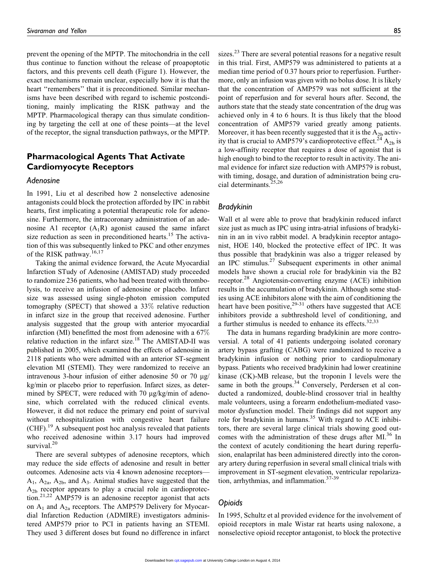prevent the opening of the MPTP. The mitochondria in the cell thus continue to function without the release of proapoptotic factors, and this prevents cell death (Figure 1). However, the exact mechanisms remain unclear, especially how it is that the heart "remembers" that it is preconditioned. Similar mechanisms have been described with regard to ischemic postconditioning, mainly implicating the RISK pathway and the MPTP. Pharmacological therapy can thus simulate conditioning by targeting the cell at one of these points—at the level of the receptor, the signal transduction pathways, or the MPTP.

## Pharmacological Agents That Activate Cardiomyocyte Receptors

#### Adenosine

In 1991, Liu et al described how 2 nonselective adenosine antagonists could block the protection afforded by IPC in rabbit hearts, first implicating a potential therapeutic role for adenosine. Furthermore, the intracoronary administration of an adenosine A1 receptor  $(A_1R)$  agonist caused the same infarct size reduction as seen in preconditioned hearts.<sup>15</sup> The activation of this was subsequently linked to PKC and other enzymes of the RISK pathway.<sup>16,17</sup>

Taking the animal evidence forward, the Acute Myocardial Infarction STudy of Adenosine (AMISTAD) study proceeded to randomize 236 patients, who had been treated with thrombolysis, to receive an infusion of adenosine or placebo. Infarct size was assessed using single-photon emission computed tomography (SPECT) that showed a 33% relative reduction in infarct size in the group that received adenosine. Further analysis suggested that the group with anterior myocardial infarction (MI) benefitted the most from adenosine with a 67% relative reduction in the infarct size.<sup>18</sup> The AMISTAD-II was published in 2005, which examined the effects of adenosine in 2118 patients who were admitted with an anterior ST-segment elevation MI (STEMI). They were randomized to receive an intravenous 3-hour infusion of either adenosine 50 or 70  $\mu$ g/ kg/min or placebo prior to reperfusion. Infarct sizes, as determined by SPECT, were reduced with  $70 \mu g/kg/min$  of adenosine, which correlated with the reduced clinical events. However, it did not reduce the primary end point of survival without rehospitalization with congestive heart failure  $(CHF)$ <sup>19</sup> A subsequent post hoc analysis revealed that patients who received adenosine within 3.17 hours had improved survival.<sup>20</sup>

There are several subtypes of adenosine receptors, which may reduce the side effects of adenosine and result in better outcomes. Adenosine acts via 4 known adenosine receptors—  $A_1$ ,  $A_2$ <sub>a</sub>,  $A_2$ <sub>b</sub>, and  $A_3$ . Animal studies have suggested that the  $A_{2b}$  receptor appears to play a crucial role in cardioprotec- $\sum_{n=1}^{\infty}$  AMP579 is an adenosine receptor agonist that acts on  $A_1$  and  $A_{2a}$  receptors. The AMP579 Delivery for Myocardial Infarction Reduction (ADMIRE) investigators administered AMP579 prior to PCI in patients having an STEMI. They used 3 different doses but found no difference in infarct

sizes.<sup>23</sup> There are several potential reasons for a negative result in this trial. First, AMP579 was administered to patients at a median time period of 0.37 hours prior to reperfusion. Furthermore, only an infusion was given with no bolus dose. It is likely that the concentration of AMP579 was not sufficient at the point of reperfusion and for several hours after. Second, the authors state that the steady state concentration of the drug was achieved only in 4 to 6 hours. It is thus likely that the blood concentration of AMP579 varied greatly among patients. Moreover, it has been recently suggested that it is the  $A_{2b}$  activity that is crucial to AMP579's cardioprotective effect.<sup>24</sup>  $A_{2b}$  is a low-affinity receptor that requires a dose of agonist that is high enough to bind to the receptor to result in activity. The animal evidence for infarct size reduction with AMP579 is robust, with timing, dosage, and duration of administration being crucial determinants.<sup>25,26</sup>

#### Bradykinin

Wall et al were able to prove that bradykinin reduced infarct size just as much as IPC using intra-atrial infusions of bradykinin in an in vivo rabbit model. A bradykinin receptor antagonist, HOE 140, blocked the protective effect of IPC. It was thus possible that bradykinin was also a trigger released by an IPC stimulus. $27$  Subsequent experiments in other animal models have shown a crucial role for bradykinin via the B2 receptor.<sup>28</sup> Angiotensin-converting enzyme (ACE) inhibition results in the accumulation of bradykinin. Although some studies using ACE inhibitors alone with the aim of conditioning the heart have been positive,  $29-31$  others have suggested that ACE inhibitors provide a subthreshold level of conditioning, and a further stimulus is needed to enhance its effects. $32,33$ 

The data in humans regarding bradykinin are more controversial. A total of 41 patients undergoing isolated coronary artery bypass grafting (CABG) were randomized to receive a bradykinin infusion or nothing prior to cardiopulmonary bypass. Patients who received bradykinin had lower creatinine kinase (CK)-MB release, but the troponin I levels were the same in both the groups.<sup>34</sup> Conversely, Perdersen et al conducted a randomized, double-blind crossover trial in healthy male volunteers, using a forearm endothelium-mediated vasomotor dysfunction model. Their findings did not support any role for bradykinin in humans.<sup>35</sup> With regard to ACE inhibitors, there are several large clinical trials showing good outcomes with the administration of these drugs after MI.<sup>36</sup> In the context of acutely conditioning the heart during reperfusion, enalaprilat has been administered directly into the coronary artery during reperfusion in several small clinical trials with improvement in ST-segment elevation, ventricular repolarization, arrhythmias, and inflammation.<sup>37-39</sup>

#### Opioids

In 1995, Schultz et al provided evidence for the involvement of opioid receptors in male Wistar rat hearts using naloxone, a nonselective opioid receptor antagonist, to block the protective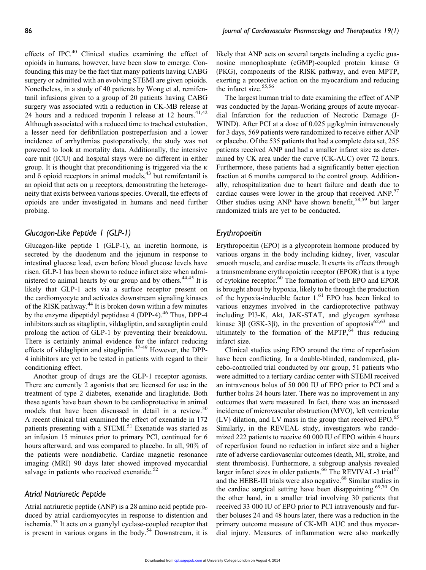effects of IPC.<sup>40</sup> Clinical studies examining the effect of opioids in humans, however, have been slow to emerge. Confounding this may be the fact that many patients having CABG surgery or admitted with an evolving STEMI are given opioids. Nonetheless, in a study of 40 patients by Wong et al, remifentanil infusions given to a group of 20 patients having CABG surgery was associated with a reduction in CK-MB release at 24 hours and a reduced troponin I release at 12 hours.  $41,42$ Although associated with a reduced time to tracheal extubation, a lesser need for defibrillation postreperfusion and a lower incidence of arrhythmias postoperatively, the study was not powered to look at mortality data. Additionally, the intensive care unit (ICU) and hospital stays were no different in either group. It is thought that preconditioning is triggered via the  $\kappa$ and  $\delta$  opioid receptors in animal models,<sup>43</sup> but remifentanil is an opioid that acts on  $\mu$  receptors, demonstrating the heterogeneity that exists between various species. Overall, the effects of opioids are under investigated in humans and need further probing.

#### Glucagon-Like Peptide 1 (GLP-1)

Glucagon-like peptide 1 (GLP-1), an incretin hormone, is secreted by the duodenum and the jejunum in response to intestinal glucose load, even before blood glucose levels have risen. GLP-1 has been shown to reduce infarct size when administered to animal hearts by our group and by others. $44,45$  It is likely that GLP-1 acts via a surface receptor present on the cardiomyocyte and activates downstream signaling kinases of the RISK pathway.<sup>44</sup> It is broken down within a few minutes by the enzyme dipeptidyl peptidase  $4$  (DPP-4).<sup>46</sup> Thus, DPP-4 inhibitors such as sitagliptin, vildagliptin, and saxagliptin could prolong the action of GLP-1 by preventing their breakdown. There is certainly animal evidence for the infarct reducing effects of vildagliptin and sitagliptin.<sup>47-49</sup> However, the DPP-4 inhibitors are yet to be tested in patients with regard to their conditioning effect.

Another group of drugs are the GLP-1 receptor agonists. There are currently 2 agonists that are licensed for use in the treatment of type 2 diabetes, exenatide and liraglutide. Both these agents have been shown to be cardioprotective in animal models that have been discussed in detail in a review.<sup>50</sup> A recent clinical trial examined the effect of exenatide in 172 patients presenting with a STEMI.<sup>51</sup> Exenatide was started as an infusion 15 minutes prior to primary PCI, continued for 6 hours afterward, and was compared to placebo. In all, 90% of the patients were nondiabetic. Cardiac magnetic resonance imaging (MRI) 90 days later showed improved myocardial salvage in patients who received exenatide. $52$ 

### Atrial Natriuretic Peptide

Atrial natriuretic peptide (ANP) is a 28 amino acid peptide produced by atrial cardiomyocytes in response to distention and ischemia.<sup>53</sup> It acts on a guanylyl cyclase-coupled receptor that is present in various organs in the body.<sup>54</sup> Downstream, it is likely that ANP acts on several targets including a cyclic guanosine monophosphate (cGMP)-coupled protein kinase G (PKG), components of the RISK pathway, and even MPTP, exerting a protective action on the myocardium and reducing the infarct size. $55,56$ 

The largest human trial to date examining the effect of ANP was conducted by the Japan-Working groups of acute myocardial Infarction for the reduction of Necrotic Damage (J-WIND). After PCI at a dose of 0.025 µg/kg/min intravenously for 3 days, 569 patients were randomized to receive either ANP or placebo. Of the 535 patients that had a complete data set, 255 patients received ANP and had a smaller infarct size as determined by CK area under the curve (CK-AUC) over 72 hours. Furthermore, these patients had a significantly better ejection fraction at 6 months compared to the control group. Additionally, rehospitalization due to heart failure and death due to cardiac causes were lower in the group that received ANP.<sup>57</sup> Other studies using ANP have shown benefit,  $58,59$  but larger randomized trials are yet to be conducted.

#### Erythropoeitin

Erythropoeitin (EPO) is a glycoprotein hormone produced by various organs in the body including kidney, liver, vascular smooth muscle, and cardiac muscle. It exerts its effects through a transmembrane erythropoietin receptor (EPOR) that is a type of cytokine receptor.<sup>60</sup> The formation of both EPO and EPOR is brought about by hypoxia, likely to be through the production of the hypoxia-inducible factor  $1<sup>61</sup>$  EPO has been linked to various enzymes involved in the cardioprotective pathway including PI3-K, Akt, JAK-STAT, and glycogen synthase kinase 3 $\beta$  (GSK-3 $\beta$ ), in the prevention of apoptosis<sup>62,63</sup> and ultimately to the formation of the MPTP, $\bar{64}$  thus reducing infarct size.

Clinical studies using EPO around the time of reperfusion have been conflicting. In a double-blinded, randomized, placebo-controlled trial conducted by our group, 51 patients who were admitted to a tertiary cardiac center with STEMI received an intravenous bolus of 50 000 IU of EPO prior to PCI and a further bolus 24 hours later. There was no improvement in any outcomes that were measured. In fact, there was an increased incidence of microvascular obstruction (MVO), left ventricular  $(LV)$  dilation, and LV mass in the group that received EPO.<sup>65</sup> Similarly, in the REVEAL study, investigators who randomized 222 patients to receive 60 000 IU of EPO within 4 hours of reperfusion found no reduction in infarct size and a higher rate of adverse cardiovascular outcomes (death, MI, stroke, and stent thrombosis). Furthermore, a subgroup analysis revealed larger infarct sizes in older patients.<sup>66</sup> The REVIVAL-3 trial<sup>67</sup> and the HEBE-III trials were also negative.<sup>68</sup> Similar studies in the cardiac surgical setting have been disappointing.<sup>69,70</sup> On the other hand, in a smaller trial involving 30 patients that received 33 000 IU of EPO prior to PCI intravenously and further boluses 24 and 48 hours later, there was a reduction in the primary outcome measure of CK-MB AUC and thus myocardial injury. Measures of inflammation were also markedly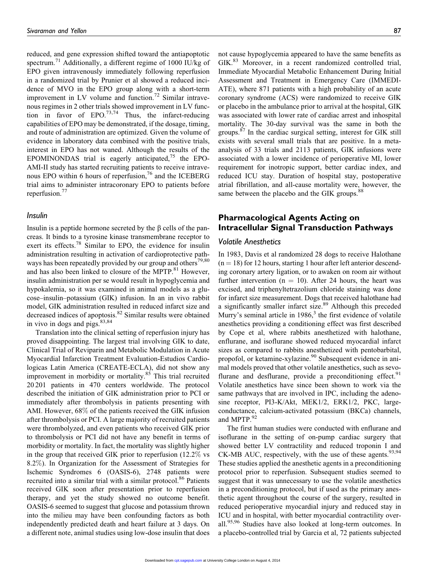reduced, and gene expression shifted toward the antiapoptotic spectrum.<sup>71</sup> Additionally, a different regime of 1000 IU/kg of EPO given intravenously immediately following reperfusion in a randomized trial by Prunier et al showed a reduced incidence of MVO in the EPO group along with a short-term improvement in LV volume and function.<sup>72</sup> Similar intravenous regimes in 2 other trials showed improvement in LV function in favor of EPO.<sup>73,74</sup> Thus, the infarct-reducing capabilities of EPO may be demonstrated, if the dosage, timing, and route of administration are optimized. Given the volume of evidence in laboratory data combined with the positive trials, interest in EPO has not waned. Although the results of the EPOMINONDAS trial is eagerly anticipated, $75$  the EPO-AMI-II study has started recruiting patients to receive intravenous EPO within 6 hours of reperfusion, $76$  and the ICEBERG trial aims to administer intracoronary EPO to patients before reperfusion. $77$ 

#### Insulin

Insulin is a peptide hormone secreted by the  $\beta$  cells of the pancreas. It binds to a tyrosine kinase transmembrane receptor to exert its effects.<sup>78</sup> Similar to EPO, the evidence for insulin administration resulting in activation of cardioprotective pathways has been repeatedly provided by our group and others<sup>79,80</sup> and has also been linked to closure of the MPTP.<sup>81</sup> However, insulin administration per se would result in hypoglycemia and hypokalemia, so it was examined in animal models as a glucose–insulin–potassium (GIK) infusion. In an in vivo rabbit model, GIK administration resulted in reduced infarct size and decreased indices of apoptosis.<sup>82</sup> Similar results were obtained in vivo in dogs and pigs.<sup>83,84</sup>

Translation into the clinical setting of reperfusion injury has proved disappointing. The largest trial involving GIK to date, Clinical Trial of Reviparin and Metabolic Modulation in Acute Myocardial Infarction Treatment Evaluation-Estudios Cardiologicas Latin America (CREATE-ECLA), did not show any improvement in morbidity or mortality.<sup>85</sup> This trial recruited 20 201 patients in 470 centers worldwide. The protocol described the initiation of GIK administration prior to PCI or immediately after thrombolysis in patients presenting with AMI. However, 68% of the patients received the GIK infusion after thrombolysis or PCI. A large majority of recruited patients were thrombolyzed, and even patients who received GIK prior to thrombolysis or PCI did not have any benefit in terms of morbidity or mortality. In fact, the mortality was slightly higher in the group that received GIK prior to reperfusion (12.2% vs 8.2%). In Organization for the Assessment of Strategies for Ischemic Syndromes 6 (OASIS-6), 2748 patients were recruited into a similar trial with a similar protocol.<sup>86</sup> Patients received GIK soon after presentation prior to reperfusion therapy, and yet the study showed no outcome benefit. OASIS-6 seemed to suggest that glucose and potassium thrown into the milieu may have been confounding factors as both independently predicted death and heart failure at 3 days. On a different note, animal studies using low-dose insulin that does not cause hypoglycemia appeared to have the same benefits as GIK.<sup>83</sup> Moreover, in a recent randomized controlled trial, Immediate Myocardial Metabolic Enhancement During Initial Assessment and Treatment in Emergency Care (IMMEDI-ATE), where 871 patients with a high probability of an acute coronary syndrome (ACS) were randomized to receive GIK or placebo in the ambulance prior to arrival at the hospital, GIK was associated with lower rate of cardiac arrest and inhospital mortality. The 30-day survival was the same in both the groups.<sup>87</sup> In the cardiac surgical setting, interest for GIK still exists with several small trials that are positive. In a metaanalysis of 33 trials and 2113 patients, GIK infusions were associated with a lower incidence of perioperative MI, lower requirement for inotropic support, better cardiac index, and reduced ICU stay. Duration of hospital stay, postoperative atrial fibrillation, and all-cause mortality were, however, the same between the placebo and the GIK groups.<sup>88</sup>

## Pharmacological Agents Acting on Intracellular Signal Transduction Pathways

#### Volatile Anesthetics

In 1983, Davis et al randomized 28 dogs to receive Halothane  $(n = 18)$  for 12 hours, starting 1 hour after left anterior descending coronary artery ligation, or to awaken on room air without further intervention ( $n = 10$ ). After 24 hours, the heart was excised, and triphenyltetrazolium chloride staining was done for infarct size measurement. Dogs that received halothane had a significantly smaller infarct size.<sup>89</sup> Although this preceded Murry's seminal article in  $1986$ ,<sup>3</sup> the first evidence of volatile anesthetics providing a conditioning effect was first described by Cope et al, where rabbits anesthetized with halothane, enflurane, and isoflurane showed reduced myocardial infarct sizes as compared to rabbits anesthetized with pentobarbital, propofol, or ketamine-xylazine.<sup>90</sup> Subsequent evidence in animal models proved that other volatile anesthetics, such as sevoflurane and desflurane, provide a preconditioning effect.<sup>91</sup> Volatile anesthetics have since been shown to work via the same pathways that are involved in IPC, including the adenosine receptor, PI3-K/Akt, MEK1/2, ERK1/2, PKC, largeconductance, calcium-activated potassium (BKCa) channels, and MPTP.<sup>92</sup>

The first human studies were conducted with enflurane and isoflurane in the setting of on-pump cardiac surgery that showed better LV contractility and reduced troponin I and CK-MB AUC, respectively, with the use of these agents.  $93,94$ These studies applied the anesthetic agents in a preconditioning protocol prior to reperfusion. Subsequent studies seemed to suggest that it was unnecessary to use the volatile anesthetics in a preconditioning protocol, but if used as the primary anesthetic agent throughout the course of the surgery, resulted in reduced perioperative myocardial injury and reduced stay in ICU and in hospital, with better myocardial contractility overall.<sup>95,96</sup> Studies have also looked at long-term outcomes. In a placebo-controlled trial by Garcia et al, 72 patients subjected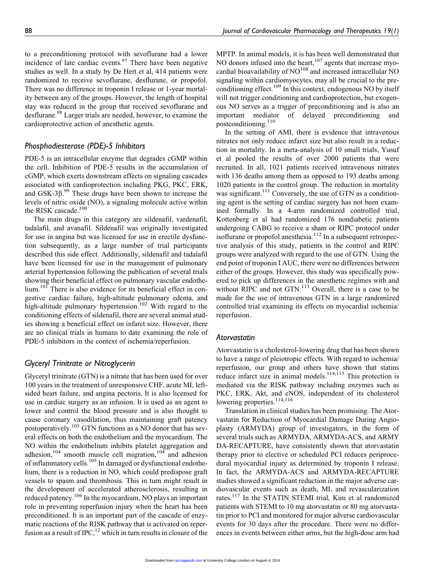to a preconditioning protocol with sevoflurane had a lower incidence of late cardiac events. $97$  There have been negative studies as well. In a study by De Hert et al, 414 patients were randomized to receive sevoflurane, desflurane, or propofol. There was no difference in troponin I release or 1-year mortality between any of the groups. However, the length of hospital stay was reduced in the group that received sevoflurane and desflurane.<sup>98</sup> Larger trials are needed, however, to examine the cardioprotective action of anesthetic agents.

#### Phosphodiesterase (PDE)-5 Inhibitors

PDE-5 is an intracellular enzyme that degrades cGMP within the cell. Inhibition of PDE-5 results in the accumulation of cGMP, which exerts downstream effects on signaling cascades associated with cardioprotection including PKG, PKC, ERK, and GSK-3 $\beta$ .<sup>99</sup> These drugs have been shown to increase the levels of nitric oxide (NO), a signaling molecule active within the RISK cascade.<sup>100</sup>

The main drugs in this category are sildenafil, vardenafil, tadalafil, and avanafil. Sildenafil was originally investigated for use in angina but was licensed for use in erectile dysfunction subsequently, as a large number of trial participants described this side effect. Additionally, sildenafil and tadalafil have been licensed for use in the management of pulmonary arterial hypertension following the publication of several trials showing their beneficial effect on pulmonary vascular endothelium.<sup>101</sup> There is also evidence for its beneficial effect in congestive cardiac failure, high-altitude pulmonary edema, and high-altitude pulmonary hypertension.<sup>102</sup> With regard to the conditioning effects of sildenafil, there are several animal studies showing a beneficial effect on infarct size. However, there are no clinical trials in humans to date examining the role of PDE-5 inhibitors in the context of ischemia/reperfusion.

#### Glyceryl Trinitrate or Nitroglycerin

Glyceryl trinitrate (GTN) is a nitrate that has been used for over 100 years in the treatment of unresponsive CHF, acute MI, leftsided heart failure, and angina pectoris. It is also licensed for use in cardiac surgery as an infusion. It is used as an agent to lower and control the blood pressure and is also thought to cause coronary vasodilation, thus maintaining graft patency postoperatively.<sup>103</sup> GTN functions as a NO donor that has several effects on both the endothelium and the myocardium. The NO within the endothelium inhibits platelet aggregation and adhesion,<sup>104</sup> smooth muscle cell migration,<sup>104</sup> and adhesion of inflammatory cells.<sup>105</sup> In damaged or dysfunctional endothelium, there is a reduction in NO, which could predispose graft vessels to spasm and thrombosis. This in turn might result in the development of accelerated atherosclerosis, resulting in reduced patency.<sup>106</sup> In the myocardium, NO plays an important role in preventing reperfusion injury when the heart has been preconditioned. It is an important part of the cascade of enzymatic reactions of the RISK pathway that is activated on reperfusion as a result of IPC,<sup>12</sup> which in turn results in closure of the

MPTP. In animal models, it is has been well demonstrated that NO donors infused into the heart,  $107$  agents that increase myocardial bioavailability of  $NO^{108}$  and increased intracellular NO signaling within cardiomyocytes, may all be crucial to the preconditioning effect.<sup>109</sup> In this context, endogenous NO by itself will not trigger conditioning and cardioprotection, but exogenous NO serves as a trigger of preconditioning and is also an important mediator of delayed preconditioning and postconditioning.<sup>110</sup>

In the setting of AMI, there is evidence that intravenous nitrates not only reduce infarct size but also result in a reduction in mortality. In a meta-analysis of 10 small trials, Yusuf et al pooled the results of over 2000 patients that were recruited. In all, 1021 patients received intravenous nitrates with 136 deaths among them as opposed to 193 deaths among 1020 patients in the control group. The reduction in mortality was significant.<sup>111</sup> Conversely, the use of GTN as a conditioning agent is the setting of cardiac surgery has not been examined formally. In a 4-arm randomized controlled trial, Kottenberg et al had randomized 176 nondiabetic patients undergoing CABG to receive a sham or RIPC protocol under isoflurane or propofol anesthesia. $112$  In a subsequent retrospective analysis of this study, patients in the control and RIPC groups were analyzed with regard to the use of GTN. Using the end point of troponin I AUC, there were no differences between either of the groups. However, this study was specifically powered to pick up differences in the anesthetic regimes with and without RIPC and not GTN.<sup>113</sup> Overall, there is a case to be made for the use of intravenous GTN in a large randomized controlled trial examining its effects on myocardial ischemia/ reperfusion.

#### Atorvastatin

Atorvastatin is a cholesterol-lowering drug that has been shown to have a range of pleiotropic effects. With regard to ischemia/ reperfusion, our group and others have shown that statins reduce infarct size in animal models.<sup>114,115</sup> This protection is mediated via the RISK pathway including enzymes such as PKC, ERK, Akt, and eNOS, independent of its cholesterol lowering properties.<sup>114,116</sup>

Translation in clinical studies has been promising. The Atorvastatin for Reduction of Myocardial Damage During Angioplasty (ARMYDA) group of investigators, in the form of several trials such as ARMYDA, ARMYDA-ACS, and ARMY DA-RECAPTURE, have consistently shown that atorvastatin therapy prior to elective or scheduled PCI reduces periprocedural myocardial injury as determined by troponin I release. In fact, the ARMYDA-ACS and ARMYDA-RECAPTURE studies showed a significant reduction in the major adverse cardiovascular events such as death, MI, and revascularization rates.<sup>117</sup> In the STATIN STEMI trial, Kim et al randomized patients with STEMI to 10 mg atorvastatin or 80 mg atorvastatin prior to PCI and monitored for major adverse cardiovascular events for 30 days after the procedure. There were no differences in events between either arms, but the high-dose arm had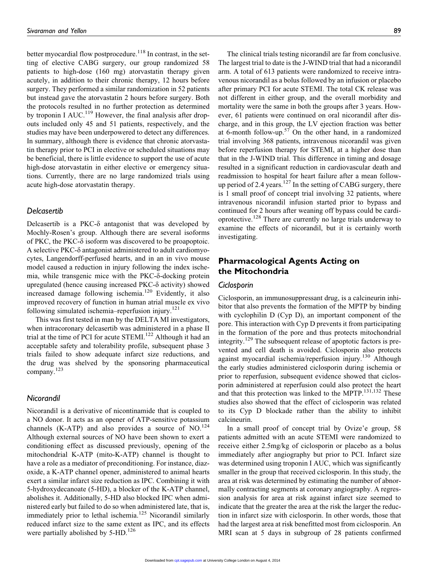better myocardial flow postprocedure.<sup>118</sup> In contrast, in the setting of elective CABG surgery, our group randomized 58 patients to high-dose (160 mg) atorvastatin therapy given acutely, in addition to their chronic therapy, 12 hours before surgery. They performed a similar randomization in 52 patients but instead gave the atorvastatin 2 hours before surgery. Both the protocols resulted in no further protection as determined by troponin I AUC.<sup>119</sup> However, the final analysis after dropouts included only 45 and 51 patients, respectively, and the studies may have been underpowered to detect any differences. In summary, although there is evidence that chronic atorvastatin therapy prior to PCI in elective or scheduled situations may be beneficial, there is little evidence to support the use of acute high-dose atorvastatin in either elective or emergency situations. Currently, there are no large randomized trials using acute high-dose atorvastatin therapy.

#### Delcasertib

Delcasertib is a PKC- $\delta$  antagonist that was developed by Mochly-Rosen's group. Although there are several isoforms of PKC, the PKC- $\delta$  isoform was discovered to be proapoptoic. A selective PKC- $\delta$  antagonist administered to adult cardiomyocytes, Langendorff-perfused hearts, and in an in vivo mouse model caused a reduction in injury following the index ischemia, while transgenic mice with the PKC- $\delta$ -docking protein upregulated (hence causing increased PKC- $\delta$  activity) showed increased damage following ischemia.<sup>120</sup> Evidently, it also improved recovery of function in human atrial muscle ex vivo following simulated ischemia–reperfusion injury.<sup>121</sup>

This was first tested in man by the DELTA MI investigators, when intracoronary delcasertib was administered in a phase II trial at the time of PCI for acute  $STEMI<sup>122</sup>$  Although it had an acceptable safety and tolerability profile, subsequent phase 3 trials failed to show adequate infarct size reductions, and the drug was shelved by the sponsoring pharmaceutical company.<sup>123</sup>

#### Nicorandil

Nicorandil is a derivative of nicontinamide that is coupled to a NO donor. It acts as an opener of ATP-sensitive potassium channels (K-ATP) and also provides a source of  $NO.<sup>124</sup>$ Although external sources of NO have been shown to exert a conditioning effect as discussed previously, opening of the mitochondrial K-ATP (mito-K-ATP) channel is thought to have a role as a mediator of preconditioning. For instance, diazoxide, a K-ATP channel opener, administered to animal hearts exert a similar infarct size reduction as IPC. Combining it with 5-hydroxydecanoate (5-HD), a blocker of the K-ATP channel, abolishes it. Additionally, 5-HD also blocked IPC when administered early but failed to do so when administered late, that is, immediately prior to lethal ischemia.<sup>125</sup> Nicorandil similarly reduced infarct size to the same extent as IPC, and its effects were partially abolished by  $5-\text{HD}$ .<sup>126</sup>

The clinical trials testing nicorandil are far from conclusive. The largest trial to date is the J-WIND trial that had a nicorandil arm. A total of 613 patients were randomized to receive intravenous nicorandil as a bolus followed by an infusion or placebo after primary PCI for acute STEMI. The total CK release was not different in either group, and the overall morbidity and mortality were the same in both the groups after 3 years. However, 61 patients were continued on oral nicorandil after discharge, and in this group, the LV ejection fraction was better at 6-month follow-up.<sup>57</sup> On the other hand, in a randomized trial involving 368 patients, intravenous nicorandil was given before reperfusion therapy for STEMI, at a higher dose than that in the J-WIND trial. This difference in timing and dosage resulted in a significant reduction in cardiovascular death and readmission to hospital for heart failure after a mean followup period of 2.4 years.<sup>127</sup> In the setting of CABG surgery, there is 1 small proof of concept trial involving 32 patients, where intravenous nicorandil infusion started prior to bypass and continued for 2 hours after weaning off bypass could be cardioprotective.<sup>128</sup> There are currently no large trials underway to examine the effects of nicorandil, but it is certainly worth investigating.

## Pharmacological Agents Acting on the Mitochondria

#### **Ciclosporin**

Ciclosporin, an immunosuppressant drug, is a calcineurin inhibitor that also prevents the formation of the MPTP by binding with cyclophilin D (Cyp D), an important component of the pore. This interaction with Cyp D prevents it from participating in the formation of the pore and thus protects mitochondrial integrity.<sup>129</sup> The subsequent release of apoptotic factors is prevented and cell death is avoided. Ciclosporin also protects against myocardial ischemia/reperfusion injury.<sup>130</sup> Although the early studies administered ciclosporin during ischemia or prior to reperfusion, subsequent evidence showed that ciclosporin administered at reperfusion could also protect the heart and that this protection was linked to the MPTP.131,132 These studies also showed that the effect of ciclosporin was related to its Cyp D blockade rather than the ability to inhibit calcineurin.

In a small proof of concept trial by Ovize'e group, 58 patients admitted with an acute STEMI were randomized to receive either 2.5mg/kg of ciclosporin or placebo as a bolus immediately after angiography but prior to PCI. Infarct size was determined using troponin I AUC, which was significantly smaller in the group that received ciclosporin. In this study, the area at risk was determined by estimating the number of abnormally contracting segments at coronary angiography. A regression analysis for area at risk against infarct size seemed to indicate that the greater the area at the risk the larger the reduction in infarct size with ciclosporin. In other words, those that had the largest area at risk benefitted most from ciclosporin. An MRI scan at 5 days in subgroup of 28 patients confirmed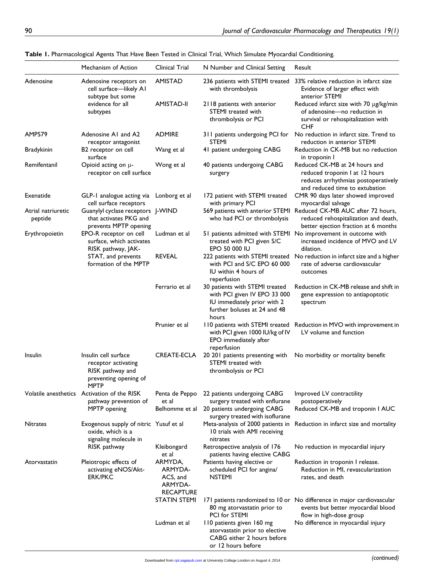|                               | Mechanism of Action                                                                                     | Clinical Trial                                                | N Number and Clinical Setting                                                                                                          | Result                                                                                                                                             |
|-------------------------------|---------------------------------------------------------------------------------------------------------|---------------------------------------------------------------|----------------------------------------------------------------------------------------------------------------------------------------|----------------------------------------------------------------------------------------------------------------------------------------------------|
| Adenosine                     | Adenosine receptors on<br>cell surface-likely AI<br>subtype but some                                    | <b>AMISTAD</b>                                                | 236 patients with STEMI treated<br>with thrombolysis                                                                                   | 33% relative reduction in infarct size<br>Evidence of larger effect with<br>anterior STEMI                                                         |
|                               | evidence for all<br>subtypes                                                                            | <b>AMISTAD-II</b>                                             | 2118 patients with anterior<br>STEMI treated with<br>thrombolysis or PCI                                                               | Reduced infarct size with 70 µg/kg/min<br>of adenosine-no reduction in<br>survival or rehospitalization with<br><b>CHF</b>                         |
| AMP579                        | Adenosine A1 and A2<br>receptor antagonist                                                              | <b>ADMIRE</b>                                                 | 311 patients undergoing PCI for<br>STEMI                                                                                               | No reduction in infarct size. Trend to<br>reduction in anterior STEMI                                                                              |
| <b>Bradykinin</b>             | B2 receptor on cell<br>surface                                                                          | Wang et al                                                    | 41 patient undergoing CABG                                                                                                             | Reduction in CK-MB but no reduction<br>in troponin I                                                                                               |
| Remifentanil                  | Opioid acting on $\mu$ -<br>receptor on cell surface                                                    | Wong et al                                                    | 40 patients undergoing CABG<br>surgery                                                                                                 | Reduced CK-MB at 24 hours and<br>reduced troponin I at 12 hours<br>reduces arrhythmias postoperatively<br>and reduced time to extubation           |
| Exenatide                     | GLP-1 analogue acting via Lonborg et al<br>cell surface receptors                                       |                                                               | 172 patient with STEMI treated<br>with primary PCI                                                                                     | CMR 90 days later showed improved<br>myocardial salvage                                                                                            |
| Atrial natriuretic<br>peptide | Guanylyl cyclase receptors J-WIND<br>that activates PKG and<br>prevents MPTP opening                    |                                                               | who had PCI or thrombolysis                                                                                                            | 569 patients with anterior STEMI Reduced CK-MB AUC after 72 hours,<br>reduced rehospitalization and death,<br>better ejection fraction at 6 months |
| Erythropoietin                | EPO-R receptor on cell<br>surface, which activates<br>RISK pathway, JAK-                                | Ludman et al                                                  | 51 patients admitted with STEMI<br>treated with PCI given S/C<br>EPO 50 000 IU                                                         | No improvement in outcome with<br>increased incidence of MVO and LV<br>dilation.                                                                   |
|                               | STAT, and prevents<br>formation of the MPTP                                                             | <b>REVEAL</b>                                                 | 222 patients with STEMI treated<br>with PCI and S/C EPO 60 000<br>IU within 4 hours of<br>reperfusion                                  | No reduction in infarct size and a higher<br>rate of adverse cardiovascular<br>outcomes                                                            |
|                               |                                                                                                         | Ferrario et al                                                | 30 patients with STEMI treated<br>with PCI given IV EPO 33 000<br>IU immediately prior with 2<br>further boluses at 24 and 48<br>hours | Reduction in CK-MB release and shift in<br>gene expression to antiapoptotic<br>spectrum                                                            |
|                               |                                                                                                         | Prunier et al                                                 | 110 patients with STEMI treated<br>with PCI given 1000 IU/kg of IV<br>EPO immediately after<br>reperfusion                             | Reduction in MVO with improvement in<br>LV volume and function                                                                                     |
| Insulin                       | Insulin cell surface<br>receptor activating<br>RISK pathway and<br>preventing opening of<br><b>MPTP</b> | CREATE-ECLA                                                   | 20 201 patients presenting with<br>STEMI treated with<br>thrombolysis or PCI                                                           | No morbidity or mortality benefit                                                                                                                  |
|                               | Volatile anesthetics Activation of the RISK<br>pathway prevention of                                    | Penta de Peppo<br>et al                                       | 22 patients undergoing CABG<br>surgery treated with enflurane                                                                          | Improved LV contractility<br>postoperatively                                                                                                       |
|                               | MPTP opening                                                                                            | Belhomme et al                                                | 20 patients undergoing CABG<br>surgery treated with isoflurane                                                                         | Reduced CK-MB and troponin I AUC                                                                                                                   |
| <b>Nitrates</b>               | Exogenous supply of nitric Yusuf et al<br>oxide, which is a<br>signaling molecule in<br>RISK pathway    |                                                               | Meta-analysis of 2000 patients in<br>10 trials with AMI receiving<br>nitrates                                                          | Reduction in infarct size and mortality                                                                                                            |
|                               |                                                                                                         | Kleibongard<br>et al                                          | Retrospective analysis of 176<br>patients having elective CABG                                                                         | No reduction in myocardial injury                                                                                                                  |
| Atorvastatin                  | Pleiotropic effects of<br>activating eNOS/Akt-<br><b>ERK/PKC</b>                                        | ARMYDA,<br>ARMYDA-<br>ACS, and<br>ARMYDA-<br><b>RECAPTURE</b> | Patients having elective or<br>scheduled PCI for angina/<br><b>NSTEMI</b>                                                              | Reduction in troponin I release.<br>Reduction in MI, revascularization<br>rates, and death                                                         |
|                               |                                                                                                         | <b>STATIN STEMI</b>                                           | 80 mg atorvastatin prior to<br>PCI for STEMI                                                                                           | 171 patients randomized to 10 or No difference in major cardiovascular<br>events but better myocardial blood<br>flow in high-dose group            |
|                               |                                                                                                         | Ludman et al                                                  | 110 patients given 160 mg<br>atorvastatin prior to elective<br>CABG either 2 hours before<br>or 12 hours before                        | No difference in myocardial injury                                                                                                                 |

| Table 1. Pharmacological Agents That Have Been Tested in Clinical Trial, Which Simulate Myocardial Conditioning. |  |  |  |  |
|------------------------------------------------------------------------------------------------------------------|--|--|--|--|
|------------------------------------------------------------------------------------------------------------------|--|--|--|--|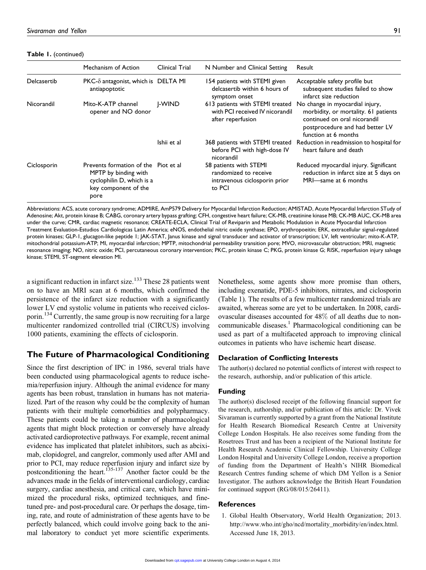Table 1. (continued)

|             | Mechanism of Action                                                                                                       | Clinical Trial | N Number and Clinical Setting                                                              | Result                                                                                                                                                             |
|-------------|---------------------------------------------------------------------------------------------------------------------------|----------------|--------------------------------------------------------------------------------------------|--------------------------------------------------------------------------------------------------------------------------------------------------------------------|
| Delcasertib | $PKC-\delta$ antagonist, which is DELTA MI<br>antiapoptotic                                                               |                | 154 patients with STEMI given<br>delcasertib within 6 hours of<br>symptom onset            | Acceptable safety profile but<br>subsequent studies failed to show<br>infarct size reduction                                                                       |
| Nicorandil  | Mito-K-ATP channel<br>opener and NO donor                                                                                 | I-WIND         | 613 patients with STEMI treated<br>with PCI received IV nicorandil<br>after reperfusion    | No change in myocardial injury,<br>morbidity, or mortality. 61 patients<br>continued on oral nicorandil<br>postprocedure and had better LV<br>function at 6 months |
|             |                                                                                                                           | Ishii et al    | before PCI with high-dose IV<br>nicorandil                                                 | 368 patients with STEMI treated Reduction in readmission to hospital for<br>heart failure and death                                                                |
| Ciclosporin | Prevents formation of the Piot et al<br>MPTP by binding with<br>cyclophilin D, which is a<br>key component of the<br>pore |                | 58 patients with STEMI<br>randomized to receive<br>intravenous ciclosporin prior<br>to PCI | Reduced myocardial injury. Significant<br>reduction in infarct size at 5 days on<br>MRI-same at 6 months                                                           |

Abbreviations: ACS, acute coronary syndrome; ADMIRE, AmP579 Delivery for Myocardial Infarction Reduction; AMISTAD, Acute Myocardial Infarction STudy of Adenosine; Akt, protein kinase B; CABG, coronary artery bypass grafting; CFH, congestive heart failure; CK-MB, creatinine kinase MB; CK-MB AUC, CK-MB area under the curve; CMR, cardiac magnetic resonance; CREATE-ECLA, Clinical Trial of Reviparin and Metabolic Modulation in Acute Myocardial Infarction Treatment Evaluation-Estudios Cardiologicas Latin America; eNOS, endothelial nitric oxide synthase; EPO, erythropoeitin; ERK, extracellular signal-regulated protein kinases; GLP-1, glucagon-like peptide 1; JAK-STAT, Janus kinase and signal transducer and activator of transcription; LV, left ventricular; mito-K-ATP, mitochondrial potassium-ATP; MI, myocardial infarction; MPTP, mitochondrial permeability transition pore; MVO, microvascular obstruction; MRI, magnetic resonance imaging; NO, nitric oxide; PCI, percutaneous coronary intervention; PKC, protein kinase C; PKG, protein kinase G; RISK, reperfusion injury salvage kinase; STEMI, ST-segment elevation MI.

a significant reduction in infarct size.<sup>133</sup> These 28 patients went on to have an MRI scan at 6 months, which confirmed the persistence of the infarct size reduction with a significantly lower LV end systolic volume in patients who received ciclosporin.<sup>134</sup> Currently, the same group is now recruiting for a large multicenter randomized controlled trial (CIRCUS) involving 1000 patients, examining the effects of ciclosporin.

## The Future of Pharmacological Conditioning

Since the first description of IPC in 1986, several trials have been conducted using pharmacological agents to reduce ischemia/reperfusion injury. Although the animal evidence for many agents has been robust, translation in humans has not materialized. Part of the reason why could be the complexity of human patients with their multiple comorbidities and polypharmacy. These patients could be taking a number of pharmacological agents that might block protection or conversely have already activated cardioprotective pathways. For example, recent animal evidence has implicated that platelet inhibitors, such as abciximab, clopidogrel, and cangrelor, commonly used after AMI and prior to PCI, may reduce reperfusion injury and infarct size by postconditioning the heart.<sup>135-137</sup> Another factor could be the advances made in the fields of interventional cardiology, cardiac surgery, cardiac anesthesia, and critical care, which have minimized the procedural risks, optimized techniques, and finetuned pre- and post-procedural care. Or perhaps the dosage, timing, rate, and route of administration of these agents have to be perfectly balanced, which could involve going back to the animal laboratory to conduct yet more scientific experiments.

Nonetheless, some agents show more promise than others, including exenatide, PDE-5 inhibitors, nitrates, and ciclosporin (Table 1). The results of a few multicenter randomized trials are awaited, whereas some are yet to be undertaken. In 2008, cardiovascular diseases accounted for 48% of all deaths due to noncommunicable diseases.<sup>1</sup> Pharmacological conditioning can be used as part of a multifaceted approach to improving clinical outcomes in patients who have ischemic heart disease.

#### Declaration of Conflicting Interests

The author(s) declared no potential conflicts of interest with respect to the research, authorship, and/or publication of this article.

#### Funding

The author(s) disclosed receipt of the following financial support for the research, authorship, and/or publication of this article: Dr. Vivek Sivaraman is currently supported by a grant from the National Institute for Health Research Biomedical Research Centre at University College London Hospitals. He also receives some funding from the Rosetrees Trust and has been a recipient of the National Institute for Health Research Academic Clinical Fellowship. University College London Hospital and University College London, receive a proportion of funding from the Department of Health's NIHR Biomedical Research Centres funding scheme of which DM Yellon is a Senior Investigator. The authors acknowledge the British Heart Foundation for continued support (RG/08/015/26411).

#### References

1. Global Health Observatory, World Health Organization; 2013. [http://www.who.int/gho/ncd/mortality\\_morbidity/en/index.html](http://www.who.int/gho/ncd/mortality_morbidity/en/index.html). Accessed June 18, 2013.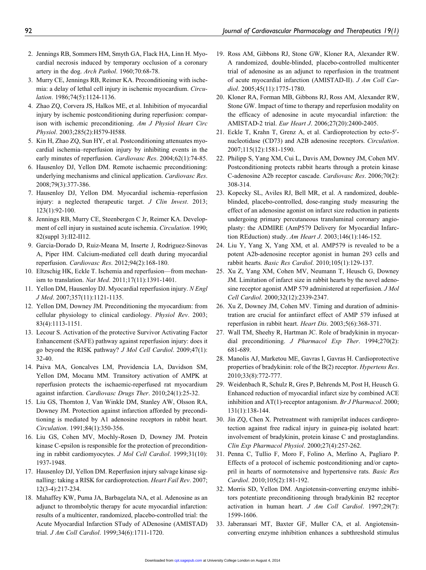- 2. Jennings RB, Sommers HM, Smyth GA, Flack HA, Linn H. Myocardial necrosis induced by temporary occlusion of a coronary artery in the dog. Arch Pathol. 1960;70:68-78.
- 3. Murry CE, Jennings RB, Reimer KA. Preconditioning with ischemia: a delay of lethal cell injury in ischemic myocardium. Circulation. 1986;74(5):1124-1136.
- 4. Zhao ZQ, Corvera JS, Halkos ME, et al. Inhibition of myocardial injury by ischemic postconditioning during reperfusion: comparison with ischemic preconditioning. Am J Physiol Heart Circ Physiol. 2003;285(2):H579-H588.
- 5. Kin H, Zhao ZQ, Sun HY, et al. Postconditioning attenuates myocardial ischemia–reperfusion injury by inhibiting events in the early minutes of reperfusion. Cardiovasc Res. 2004;62(1):74-85.
- 6. Hausenloy DJ, Yellon DM. Remote ischaemic preconditioning: underlying mechanisms and clinical application. Cardiovasc Res. 2008;79(3):377-386.
- 7. Hausenloy DJ, Yellon DM. Myocardial ischemia–reperfusion injury: a neglected therapeutic target. J Clin Invest. 2013; 123(1):92-100.
- 8. Jennings RB, Murry CE, Steenbergen C Jr, Reimer KA. Development of cell injury in sustained acute ischemia. Circulation. 1990; 82(suppl 3):II2-II12.
- 9. Garcia-Dorado D, Ruiz-Meana M, Inserte J, Rodriguez-Sinovas A, Piper HM. Calcium-mediated cell death during myocardial reperfusion. Cardiovasc Res. 2012;94(2):168-180.
- 10. Eltzschig HK, Eckle T. Ischemia and reperfusion—from mechanism to translation. Nat Med. 2011;17(11):1391-1401.
- 11. Yellon DM, Hausenloy DJ. Myocardial reperfusion injury. N Engl J Med. 2007;357(11):1121-1135.
- 12. Yellon DM, Downey JM. Preconditioning the myocardium: from cellular physiology to clinical cardiology. Physiol Rev. 2003; 83(4):1113-1151.
- 13. Lecour S. Activation of the protective Survivor Activating Factor Enhancement (SAFE) pathway against reperfusion injury: does it go beyond the RISK pathway? J Mol Cell Cardiol. 2009;47(1): 32-40.
- 14. Paiva MA, Goncalves LM, Providencia LA, Davidson SM, Yellon DM, Mocanu MM. Transitory activation of AMPK at reperfusion protects the ischaemic-reperfused rat myocardium against infarction. Cardiovasc Drugs Ther. 2010;24(1):25-32.
- 15. Liu GS, Thornton J, Van Winkle DM, Stanley AW, Olsson RA, Downey JM. Protection against infarction afforded by preconditioning is mediated by A1 adenosine receptors in rabbit heart. Circulation. 1991;84(1):350-356.
- 16. Liu GS, Cohen MV, Mochly-Rosen D, Downey JM. Protein kinase C-epsilon is responsible for the protection of preconditioning in rabbit cardiomyocytes. J Mol Cell Cardiol. 1999;31(10): 1937-1948.
- 17. Hausenloy DJ, Yellon DM. Reperfusion injury salvage kinase signalling: taking a RISK for cardioprotection. Heart Fail Rev. 2007; 12(3-4):217-234.
- 18. Mahaffey KW, Puma JA, Barbagelata NA, et al. Adenosine as an adjunct to thrombolytic therapy for acute myocardial infarction: results of a multicenter, randomized, placebo-controlled trial: the Acute Myocardial Infarction STudy of ADenosine (AMISTAD) trial. J Am Coll Cardiol. 1999;34(6):1711-1720.
- 19. Ross AM, Gibbons RJ, Stone GW, Kloner RA, Alexander RW. A randomized, double-blinded, placebo-controlled multicenter trial of adenosine as an adjunct to reperfusion in the treatment of acute myocardial infarction (AMISTAD-II). J Am Coll Cardiol. 2005;45(11):1775-1780.
- 20. Kloner RA, Forman MB, Gibbons RJ, Ross AM, Alexander RW, Stone GW. Impact of time to therapy and reperfusion modality on the efficacy of adenosine in acute myocardial infarction: the AMISTAD-2 trial. Eur Heart J. 2006;27(20):2400-2405.
- 21. Eckle T, Krahn T, Grenz A, et al. Cardioprotection by ecto-5'nucleotidase (CD73) and A2B adenosine receptors. Circulation. 2007;115(12):1581-1590.
- 22. Philipp S, Yang XM, Cui L, Davis AM, Downey JM, Cohen MV. Postconditioning protects rabbit hearts through a protein kinase C-adenosine A2b receptor cascade. Cardiovasc Res. 2006;70(2): 308-314.
- 23. Kopecky SL, Aviles RJ, Bell MR, et al. A randomized, doubleblinded, placebo-controlled, dose-ranging study measuring the effect of an adenosine agonist on infarct size reduction in patients undergoing primary percutaneous transluminal coronary angioplasty: the ADMIRE (AmP579 Delivery for Myocardial Infarction REduction) study. Am Heart J. 2003;146(1):146-152.
- 24. Liu Y, Yang X, Yang XM, et al. AMP579 is revealed to be a potent A2b-adenosine receptor agonist in human 293 cells and rabbit hearts. Basic Res Cardiol. 2010;105(1):129-137.
- 25. Xu Z, Yang XM, Cohen MV, Neumann T, Heusch G, Downey JM. Limitation of infarct size in rabbit hearts by the novel adenosine receptor agonist AMP 579 administered at reperfusion. J Mol Cell Cardiol. 2000;32(12):2339-2347.
- 26. Xu Z, Downey JM, Cohen MV. Timing and duration of administration are crucial for antiinfarct effect of AMP 579 infused at reperfusion in rabbit heart. Heart Dis. 2003;5(6):368-371.
- 27. Wall TM, Sheehy R, Hartman JC. Role of bradykinin in myocardial preconditioning. J Pharmacol Exp Ther. 1994;270(2): 681-689.
- 28. Manolis AJ, Marketou ME, Gavras I, Gavras H. Cardioprotective properties of bradykinin: role of the B(2) receptor. Hypertens Res. 2010;33(8):772-777.
- 29. Weidenbach R, Schulz R, Gres P, Behrends M, Post H, Heusch G. Enhanced reduction of myocardial infarct size by combined ACE inhibition and  $AT(1)$ -receptor antagonism. Br J Pharmacol. 2000; 131(1):138-144.
- 30. Jin ZQ, Chen X. Pretreatment with ramiprilat induces cardioprotection against free radical injury in guinea-pig isolated heart: involvement of bradykinin, protein kinase C and prostaglandins. Clin Exp Pharmacol Physiol. 2000;27(4):257-262.
- 31. Penna C, Tullio F, Moro F, Folino A, Merlino A, Pagliaro P. Effects of a protocol of ischemic postconditioning and/or captopril in hearts of normotensive and hypertensive rats. Basic Res Cardiol. 2010;105(2):181-192.
- 32. Morris SD, Yellon DM. Angiotensin-converting enzyme inhibitors potentiate preconditioning through bradykinin B2 receptor activation in human heart. J Am Coll Cardiol. 1997;29(7): 1599-1606.
- 33. Jaberansari MT, Baxter GF, Muller CA, et al. Angiotensinconverting enzyme inhibition enhances a subthreshold stimulus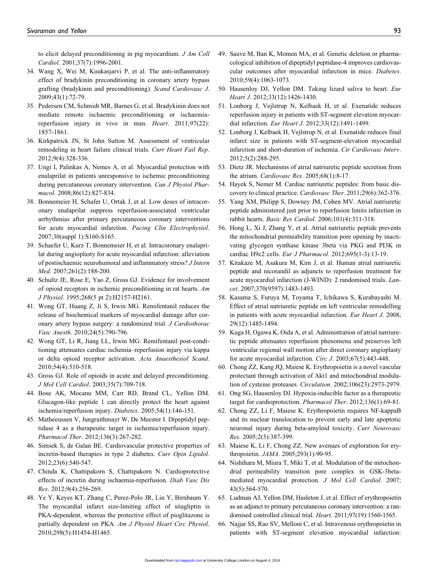to elicit delayed preconditioning in pig myocardium. J Am Coll Cardiol. 2001;37(7):1996-2001.

- 34. Wang X, Wei M, Kuukasjarvi P, et al. The anti-inflammatory effect of bradykinin preconditioning in coronary artery bypass grafting (bradykinin and preconditioning). Scand Cardiovasc J. 2009;43(1):72-79.
- 35. Pedersen CM, Schmidt MR, Barnes G, et al. Bradykinin does not mediate remote ischaemic preconditioning or ischaemiareperfusion injury in vivo in man. Heart. 2011;97(22): 1857-1861.
- 36. Kirkpatrick JN, St John Sutton M. Assessment of ventricular remodeling in heart failure clinical trials. Curr Heart Fail Rep. 2012;9(4):328-336.
- 37. Ungi I, Palinkas A, Nemes A, et al. Myocardial protection with enalaprilat in patients unresponsive to ischemic preconditioning during percutaneous coronary intervention. Can J Physiol Pharmacol. 2008;86(12):827-834.
- 38. Bonnemeier H, Schafer U, Ortak J, et al. Low doses of intracoronary enalaprilat suppress reperfusion-associated ventricular arrhythmias after primary percutaneous coronary interventions for acute myocardial infarction. Pacing Clin Electrophysiol. 2007;30(suppl 1):S160-S165.
- 39. Schaefer U, Kurz T, Bonnemeier H, et al. Intracoronary enalaprilat during angioplasty for acute myocardial infarction: alleviation of postischaemic neurohumoral and inflammatory stress? J Intern Med. 2007;261(2):188-200.
- 40. Schultz JE, Rose E, Yao Z, Gross GJ. Evidence for involvement of opioid receptors in ischemic preconditioning in rat hearts. Am J Physiol. 1995;268(5 pt 2):H2157-H2161.
- 41. Wong GT, Huang Z, Ji S, Irwin MG. Remifentanil reduces the release of biochemical markers of myocardial damage after coronary artery bypass surgery: a randomized trial. J Cardiothorac Vasc Anesth. 2010;24(5):790-796.
- 42. Wong GT, Li R, Jiang LL, Irwin MG. Remifentanil post-conditioning attenuates cardiac ischemia–reperfusion injury via kappa or delta opioid receptor activation. Acta Anaesthesiol Scand. 2010;54(4):510-518.
- 43. Gross GJ. Role of opioids in acute and delayed preconditioning. J Mol Cell Cardiol. 2003;35(7):709-718.
- 44. Bose AK, Mocanu MM, Carr RD, Brand CL, Yellon DM. Glucagon-like peptide 1 can directly protect the heart against ischemia/reperfusion injury. Diabetes. 2005;54(1):146-151.
- 45. Matheeussen V, Jungraithmayr W, De Meester I. Dipeptidyl peptidase 4 as a therapeutic target in ischemia/reperfusion injury. Pharmacol Ther. 2012;136(3):267-282.
- 46. Simsek S, de Galan BE. Cardiovascular protective properties of incretin-based therapies in type 2 diabetes. Curr Opin Lipidol. 2012;23(6):540-547.
- 47. Chinda K, Chattipakorn S, Chattipakorn N. Cardioprotective effects of incretin during ischaemia-reperfusion. Diab Vasc Dis Res. 2012;9(4):256-269.
- 48. Ye Y, Keyes KT, Zhang C, Perez-Polo JR, Lin Y, Birnbaum Y. The myocardial infarct size-limiting effect of sitagliptin is PKA-dependent, whereas the protective effect of pioglitazone is partially dependent on PKA. Am J Physiol Heart Circ Physiol. 2010;298(5):H1454-H1465.
- 49. Sauve M, Ban K, Momen MA, et al. Genetic deletion or pharmacological inhibition of dipeptidyl peptidase-4 improves cardiovascular outcomes after myocardial infarction in mice. Diabetes. 2010;59(4):1063-1073.
- 50. Hausenloy DJ, Yellon DM. Taking lizard saliva to heart. Eur Heart J. 2012;33(12):1426-1430.
- 51. Lonborg J, Vejlstrup N, Kelbaek H, et al. Exenatide reduces reperfusion injury in patients with ST-segment elevation myocardial infarction. Eur Heart J. 2012;33(12):1491-1499.
- 52. Lonborg J, Kelbaek H, Vejlstrup N, et al. Exenatide reduces final infarct size in patients with ST-segment-elevation myocardial infarction and short-duration of ischemia. Cir Cardiovasc Interv. 2012;5(2):288-295.
- 53. Dietz JR. Mechanisms of atrial natriuretic peptide secretion from the atrium. Cardiovasc Res. 2005;68(1):8-17.
- 54. Hayek S, Nemer M. Cardiac natriuretic peptides: from basic discovery to clinical practice. Cardiovasc Ther. 2011;29(6):362-376.
- 55. Yang XM, Philipp S, Downey JM, Cohen MV. Atrial natriuretic peptide administered just prior to reperfusion limits infarction in rabbit hearts. Basic Res Cardiol. 2006;101(4):311-318.
- 56. Hong L, Xi J, Zhang Y, et al. Atrial natriuretic peptide prevents the mitochondrial permeability transition pore opening by inactivating glycogen synthase kinase 3beta via PKG and PI3K in cardiac H9c2 cells. Eur J Pharmacol. 2012;695(1-3):13-19.
- 57. Kitakaze M, Asakura M, Kim J, et al. Human atrial natriuretic peptide and nicorandil as adjuncts to reperfusion treatment for acute myocardial infarction (J-WIND): 2 randomised trials. Lancet. 2007;370(9597):1483-1493.
- 58. Kasama S, Furuya M, Toyama T, Ichikawa S, Kurabayashi M. Effect of atrial natriuretic peptide on left ventricular remodelling in patients with acute myocardial infarction. Eur Heart J. 2008; 29(12):1485-1494.
- 59. Kuga H, Ogawa K, Oida A, et al. Administration of atrial natriuretic peptide attenuates reperfusion phenomena and preserves left ventricular regional wall motion after direct coronary angioplasty for acute myocardial infarction. Circ J. 2003;67(5):443-448.
- 60. Chong ZZ, Kang JQ, Maiese K. Erythropoietin is a novel vascular protectant through activation of Akt1 and mitochondrial modulation of cysteine proteases. Circulation. 2002;106(23):2973-2979.
- 61. Ong SG, Hausenloy DJ. Hypoxia-inducible factor as a therapeutic target for cardioprotection. Pharmacol Ther. 2012;136(1):69-81.
- 62. Chong ZZ, Li F, Maiese K. Erythropoietin requires NF-kappaB and its nuclear translocation to prevent early and late apoptotic neuronal injury during beta-amyloid toxicity. Curr Neurovasc Res. 2005;2(5):387-399.
- 63. Maiese K, Li F, Chong ZZ. New avenues of exploration for erythropoietin. JAMA. 2005;293(1):90-95.
- 64. Nishihara M, Miura T, Miki T, et al. Modulation of the mitochondrial permeability transition pore complex in GSK-3betamediated myocardial protection. J Mol Cell Cardiol. 2007; 43(5):564-570.
- 65. Ludman AJ, Yellon DM, Hasleton J, et al. Effect of erythropoietin as an adjunct to primary percutaneous coronary intervention: a randomised controlled clinical trial. Heart. 2011;97(19):1560-1565.
- 66. Najjar SS, Rao SV, Melloni C, et al. Intravenous erythropoietin in patients with ST-segment elevation myocardial infarction: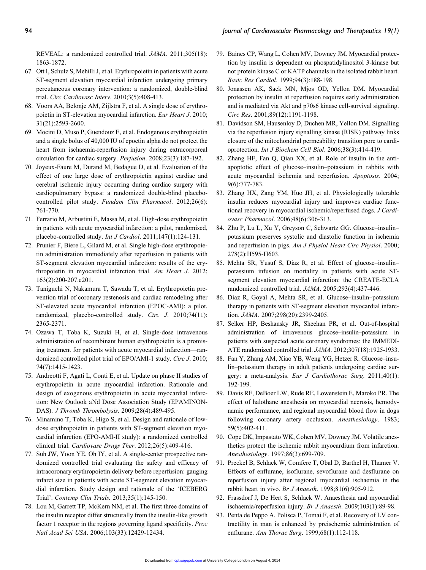REVEAL: a randomized controlled trial. JAMA. 2011;305(18): 1863-1872.

- 67. Ott I, Schulz S, Mehilli J, et al. Erythropoietin in patients with acute ST-segment elevation myocardial infarction undergoing primary percutaneous coronary intervention: a randomized, double-blind trial. Circ Cardiovasc Interv. 2010;3(5):408-413.
- 68. Voors AA, Belonje AM, Zijlstra F, et al. A single dose of erythropoietin in ST-elevation myocardial infarction. Eur Heart J. 2010; 31(21):2593-2600.
- 69. Mocini D, Muso P, Guendouz E, et al. Endogenous erythropoietin and a single bolus of 40,000 IU of epoetin alpha do not protect the heart from ischaemia-reperfusion injury during extracorporeal circulation for cardiac surgery. Perfusion. 2008;23(3):187-192.
- 70. Joyeux-Faure M, Durand M, Bedague D, et al. Evaluation of the effect of one large dose of erythropoietin against cardiac and cerebral ischemic injury occurring during cardiac surgery with cardiopulmonary bypass: a randomized double-blind placebocontrolled pilot study. Fundam Clin Pharmacol. 2012;26(6): 761-770.
- 71. Ferrario M, Arbustini E, Massa M, et al. High-dose erythropoietin in patients with acute myocardial infarction: a pilot, randomised, placebo-controlled study. Int J Cardiol. 2011;147(1):124-131.
- 72. Prunier F, Biere L, Gilard M, et al. Single high-dose erythropoietin administration immediately after reperfusion in patients with ST-segment elevation myocardial infarction: results of the erythropoietin in myocardial infarction trial. Am Heart J. 2012; 163(2):200-207.e201.
- 73. Taniguchi N, Nakamura T, Sawada T, et al. Erythropoietin prevention trial of coronary restenosis and cardiac remodeling after ST-elevated acute myocardial infarction (EPOC-AMI): a pilot, randomized, placebo-controlled study. Circ J. 2010;74(11): 2365-2371.
- 74. Ozawa T, Toba K, Suzuki H, et al. Single-dose intravenous administration of recombinant human erythropoietin is a promising treatment for patients with acute myocardial infarction—randomized controlled pilot trial of EPO/AMI-1 study. Circ J. 2010; 74(7):1415-1423.
- 75. Andreotti F, Agati L, Conti E, et al. Update on phase II studies of erythropoietin in acute myocardial infarction. Rationale and design of exogenous erythropoietin in acute myocardial infarction: New Outlook aNd Dose Association Study (EPAMINON-DAS). J Thromb Thrombolysis. 2009;28(4):489-495.
- 76. Minamino T, Toba K, Higo S, et al. Design and rationale of lowdose erythropoietin in patients with ST-segment elevation myocardial infarction (EPO-AMI-II study): a randomized controlled clinical trial. Cardiovasc Drugs Ther. 2012;26(5):409-416.
- 77. Suh JW, Yoon YE, Oh IY, et al. A single-center prospective randomized controlled trial evaluating the safety and efficacy of intracoronary erythropoietin delivery before reperfusion: gauging infarct size in patients with acute ST-segment elevation myocardial infarction. Study design and rationale of the 'ICEBERG Trial'. Contemp Clin Trials. 2013;35(1):145-150.
- 78. Lou M, Garrett TP, McKern NM, et al. The first three domains of the insulin receptor differ structurally from the insulin-like growth factor 1 receptor in the regions governing ligand specificity. Proc Natl Acad Sci USA. 2006;103(33):12429-12434.
- 79. Baines CP, Wang L, Cohen MV, Downey JM. Myocardial protection by insulin is dependent on phospatidylinositol 3-kinase but not protein kinase C or KATP channels in the isolated rabbit heart. Basic Res Cardiol. 1999;94(3):188-198.
- 80. Jonassen AK, Sack MN, Mjos OD, Yellon DM. Myocardial protection by insulin at reperfusion requires early administration and is mediated via Akt and p70s6 kinase cell-survival signaling. Circ Res. 2001;89(12):1191-1198.
- 81. Davidson SM, Hausenloy D, Duchen MR, Yellon DM. Signalling via the reperfusion injury signalling kinase (RISK) pathway links closure of the mitochondrial permeability transition pore to cardioprotection. Int J Biochem Cell Biol. 2006;38(3):414-419.
- 82. Zhang HF, Fan Q, Qian XX, et al. Role of insulin in the antiapoptotic effect of glucose–insulin–potassium in rabbits with acute myocardial ischemia and reperfusion. Apoptosis. 2004; 9(6):777-783.
- 83. Zhang HX, Zang YM, Huo JH, et al. Physiologically tolerable insulin reduces myocardial injury and improves cardiac functional recovery in myocardial ischemic/reperfused dogs. J Cardiovasc Pharmacol. 2006;48(6):306-313.
- 84. Zhu P, Lu L, Xu Y, Greyson C, Schwartz GG. Glucose–insulin– potassium preserves systolic and diastolic function in ischemia and reperfusion in pigs. Am J Physiol Heart Circ Physiol. 2000; 278(2):H595-H603.
- 85. Mehta SR, Yusuf S, Diaz R, et al. Effect of glucose–insulin– potassium infusion on mortality in patients with acute STsegment elevation myocardial infarction: the CREATE-ECLA randomized controlled trial. JAMA. 2005;293(4):437-446.
- 86. Diaz R, Goyal A, Mehta SR, et al. Glucose–insulin–potassium therapy in patients with ST-segment elevation myocardial infarction. JAMA. 2007;298(20):2399-2405.
- 87. Selker HP, Beshansky JR, Sheehan PR, et al. Out-of-hospital administration of intravenous glucose–insulin–potassium in patients with suspected acute coronary syndromes: the IMMEDI-ATE randomized controlled trial. JAMA. 2012;307(18):1925-1933.
- 88. Fan Y, Zhang AM, Xiao YB, Weng YG, Hetzer R. Glucose–insulin–potassium therapy in adult patients undergoing cardiac surgery: a meta-analysis. Eur J Cardiothorac Surg. 2011;40(1): 192-199.
- 89. Davis RF, DeBoer LW, Rude RE, Lowenstein E, Maroko PR. The effect of halothane anesthesia on myocardial necrosis, hemodynamic performance, and regional myocardial blood flow in dogs following coronary artery occlusion. Anesthesiology. 1983; 59(5):402-411.
- 90. Cope DK, Impastato WK, Cohen MV, Downey JM. Volatile anesthetics protect the ischemic rabbit myocardium from infarction. Anesthesiology. 1997;86(3):699-709.
- 91. Preckel B, Schlack W, Comfere T, Obal D, Barthel H, Thamer V. Effects of enflurane, isoflurane, sevoflurane and desflurane on reperfusion injury after regional myocardial ischaemia in the rabbit heart in vivo. Br J Anaesth. 1998;81(6):905-912.
- 92. Frassdorf J, De Hert S, Schlack W. Anaesthesia and myocardial ischaemia/reperfusion injury. Br J Anaesth. 2009;103(1):89-98.
- 93. Penta de Peppo A, Polisca P, Tomai F, et al. Recovery of LV contractility in man is enhanced by preischemic administration of enflurane. Ann Thorac Surg. 1999;68(1):112-118.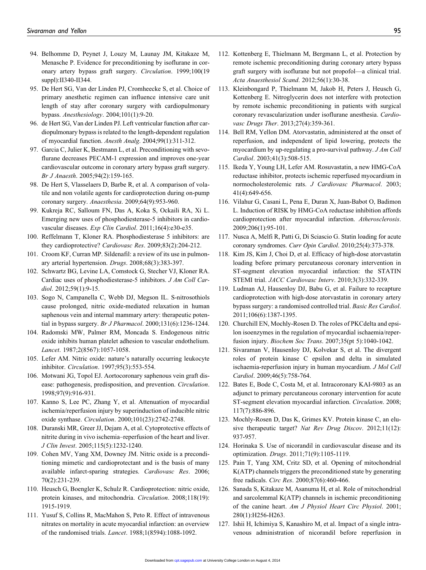- 94. Belhomme D, Peynet J, Louzy M, Launay JM, Kitakaze M, Menasche P. Evidence for preconditioning by isoflurane in coronary artery bypass graft surgery. Circulation. 1999;100(19 suppl):II340-II344.
- 95. De Hert SG, Van der Linden PJ, Cromheecke S, et al. Choice of primary anesthetic regimen can influence intensive care unit length of stay after coronary surgery with cardiopulmonary bypass. Anesthesiology. 2004;101(1):9-20.
- 96. de Hert SG, Van der Linden PJ. Left ventricular function after cardiopulmonary bypass is related to the length-dependent regulation of myocardial function. Anesth Analg. 2004;99(1):311-312.
- 97. Garcia C, Julier K, Bestmann L, et al. Preconditioning with sevoflurane decreases PECAM-1 expression and improves one-year cardiovascular outcome in coronary artery bypass graft surgery. Br J Anaesth. 2005;94(2):159-165.
- 98. De Hert S, Vlasselaers D, Barbe R, et al. A comparison of volatile and non volatile agents for cardioprotection during on-pump coronary surgery. Anaesthesia. 2009;64(9):953-960.
- 99. Kukreja RC, Salloum FN, Das A, Koka S, Ockaili RA, Xi L. Emerging new uses of phosphodiesterase-5 inhibitors in cardiovascular diseases. Exp Clin Cardiol. 2011;16(4):e30-e35.
- 100. Reffelmann T, Kloner RA. Phosphodiesterase 5 inhibitors: are they cardioprotective? Cardiovasc Res. 2009;83(2):204-212.
- 101. Croom KF, Curran MP. Sildenafil: a review of its use in pulmonary arterial hypertension. Drugs. 2008;68(3):383-397.
- 102. Schwartz BG, Levine LA, Comstock G, Stecher VJ, Kloner RA. Cardiac uses of phosphodiesterase-5 inhibitors. J Am Coll Cardiol. 2012;59(1):9-15.
- 103. Sogo N, Campanella C, Webb DJ, Megson IL. S-nitrosothiols cause prolonged, nitric oxide-mediated relaxation in human saphenous vein and internal mammary artery: therapeutic potential in bypass surgery. Br J Pharmacol. 2000;131(6):1236-1244.
- 104. Radomski MW, Palmer RM, Moncada S. Endogenous nitric oxide inhibits human platelet adhesion to vascular endothelium. Lancet. 1987;2(8567):1057-1058.
- 105. Lefer AM. Nitric oxide: nature's naturally occurring leukocyte inhibitor. Circulation. 1997;95(3):553-554.
- 106. Motwani JG, Topol EJ. Aortocoronary saphenous vein graft disease: pathogenesis, predisposition, and prevention. Circulation. 1998;97(9):916-931.
- 107. Kanno S, Lee PC, Zhang Y, et al. Attenuation of myocardial ischemia/reperfusion injury by superinduction of inducible nitric oxide synthase. Circulation. 2000;101(23):2742-2748.
- 108. Duranski MR, Greer JJ, Dejam A, et al. Cytoprotective effects of nitrite during in vivo ischemia–reperfusion of the heart and liver. J Clin Invest. 2005;115(5):1232-1240.
- 109. Cohen MV, Yang XM, Downey JM. Nitric oxide is a preconditioning mimetic and cardioprotectant and is the basis of many available infarct-sparing strategies. Cardiovasc Res. 2006; 70(2):231-239.
- 110. Heusch G, Boengler K, Schulz R. Cardioprotection: nitric oxide, protein kinases, and mitochondria. Circulation. 2008;118(19): 1915-1919.
- 111. Yusuf S, Collins R, MacMahon S, Peto R. Effect of intravenous nitrates on mortality in acute myocardial infarction: an overview of the randomised trials. Lancet. 1988;1(8594):1088-1092.
- 112. Kottenberg E, Thielmann M, Bergmann L, et al. Protection by remote ischemic preconditioning during coronary artery bypass graft surgery with isoflurane but not propofol—a clinical trial. Acta Anaesthesiol Scand. 2012;56(1):30-38.
- 113. Kleinbongard P, Thielmann M, Jakob H, Peters J, Heusch G, Kottenberg E. Nitroglycerin does not interfere with protection by remote ischemic preconditioning in patients with surgical coronary revascularization under isoflurane anesthesia. Cardiovasc Drugs Ther. 2013;27(4):359-361.
- 114. Bell RM, Yellon DM. Atorvastatin, administered at the onset of reperfusion, and independent of lipid lowering, protects the myocardium by up-regulating a pro-survival pathway. J Am Coll Cardiol. 2003;41(3):508-515.
- 115. Ikeda Y, Young LH, Lefer AM. Rosuvastatin, a new HMG-CoA reductase inhibitor, protects ischemic reperfused myocardium in normocholesterolemic rats. J Cardiovasc Pharmacol. 2003; 41(4):649-656.
- 116. Vilahur G, Casani L, Pena E, Duran X, Juan-Babot O, Badimon L. Induction of RISK by HMG-CoA reductase inhibition affords cardioprotection after myocardial infarction. Atherosclerosis. 2009;206(1):95-101.
- 117. Nusca A, Melfi R, Patti G, Di Sciascio G. Statin loading for acute coronary syndromes. Curr Opin Cardiol. 2010;25(4):373-378.
- 118. Kim JS, Kim J, Choi D, et al. Efficacy of high-dose atorvastatin loading before primary percutaneous coronary intervention in ST-segment elevation myocardial infarction: the STATIN STEMI trial. JACC Cardiovasc Interv. 2010;3(3):332-339.
- 119. Ludman AJ, Hausenloy DJ, Babu G, et al. Failure to recapture cardioprotection with high-dose atorvastatin in coronary artery bypass surgery: a randomised controlled trial. Basic Res Cardiol. 2011;106(6):1387-1395.
- 120. Churchill EN, Mochly-Rosen D. The roles of PKCdelta and epsilon isoenzymes in the regulation of myocardial ischaemia/reperfusion injury. Biochem Soc Trans. 2007;35(pt 5):1040-1042.
- 121. Sivaraman V, Hausenloy DJ, Kolvekar S, et al. The divergent roles of protein kinase C epsilon and delta in simulated ischaemia-reperfusion injury in human myocardium. J Mol Cell Cardiol. 2009;46(5):758-764.
- 122. Bates E, Bode C, Costa M, et al. Intracoronary KAI-9803 as an adjunct to primary percutaneous coronary intervention for acute ST-segment elevation myocardial infarction. Circulation. 2008; 117(7):886-896.
- 123. Mochly-Rosen D, Das K, Grimes KV. Protein kinase C, an elusive therapeutic target? Nat Rev Drug Discov. 2012;11(12): 937-957.
- 124. Horinaka S. Use of nicorandil in cardiovascular disease and its optimization. Drugs. 2011;71(9):1105-1119.
- 125. Pain T, Yang XM, Critz SD, et al. Opening of mitochondrial K(ATP) channels triggers the preconditioned state by generating free radicals. Circ Res. 2000;87(6):460-466.
- 126. Sanada S, Kitakaze M, Asanuma H, et al. Role of mitochondrial and sarcolemmal K(ATP) channels in ischemic preconditioning of the canine heart. Am J Physiol Heart Circ Physiol. 2001; 280(1):H256-H263.
- 127. Ishii H, Ichimiya S, Kanashiro M, et al. Impact of a single intravenous administration of nicorandil before reperfusion in